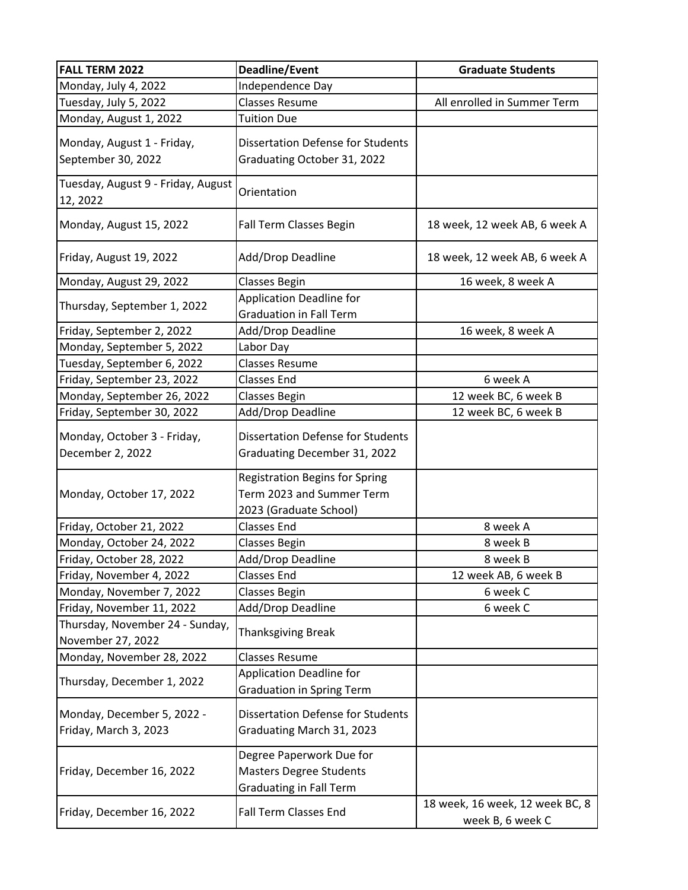| <b>FALL TERM 2022</b>                                | <b>Deadline/Event</b>                                                                        | <b>Graduate Students</b>                            |
|------------------------------------------------------|----------------------------------------------------------------------------------------------|-----------------------------------------------------|
| Monday, July 4, 2022                                 | Independence Day                                                                             |                                                     |
| Tuesday, July 5, 2022                                | <b>Classes Resume</b>                                                                        | All enrolled in Summer Term                         |
| Monday, August 1, 2022                               | <b>Tuition Due</b>                                                                           |                                                     |
| Monday, August 1 - Friday,<br>September 30, 2022     | <b>Dissertation Defense for Students</b><br>Graduating October 31, 2022                      |                                                     |
| Tuesday, August 9 - Friday, August<br>12, 2022       | Orientation                                                                                  |                                                     |
| Monday, August 15, 2022                              | Fall Term Classes Begin                                                                      | 18 week, 12 week AB, 6 week A                       |
| Friday, August 19, 2022                              | Add/Drop Deadline                                                                            | 18 week, 12 week AB, 6 week A                       |
| Monday, August 29, 2022                              | <b>Classes Begin</b>                                                                         | 16 week, 8 week A                                   |
| Thursday, September 1, 2022                          | <b>Application Deadline for</b><br><b>Graduation in Fall Term</b>                            |                                                     |
| Friday, September 2, 2022                            | Add/Drop Deadline                                                                            | 16 week, 8 week A                                   |
| Monday, September 5, 2022                            | Labor Day                                                                                    |                                                     |
| Tuesday, September 6, 2022                           | <b>Classes Resume</b>                                                                        |                                                     |
| Friday, September 23, 2022                           | <b>Classes End</b>                                                                           | 6 week A                                            |
| Monday, September 26, 2022                           | <b>Classes Begin</b>                                                                         | 12 week BC, 6 week B                                |
| Friday, September 30, 2022                           | Add/Drop Deadline                                                                            | 12 week BC, 6 week B                                |
| Monday, October 3 - Friday,<br>December 2, 2022      | <b>Dissertation Defense for Students</b><br>Graduating December 31, 2022                     |                                                     |
| Monday, October 17, 2022                             | <b>Registration Begins for Spring</b><br>Term 2023 and Summer Term<br>2023 (Graduate School) |                                                     |
| Friday, October 21, 2022                             | <b>Classes End</b>                                                                           | 8 week A                                            |
| Monday, October 24, 2022                             | <b>Classes Begin</b>                                                                         | 8 week B                                            |
| Friday, October 28, 2022                             | Add/Drop Deadline                                                                            | 8 week B                                            |
| Friday, November 4, 2022                             | <b>Classes End</b>                                                                           | 12 week AB, 6 week B                                |
| Monday, November 7, 2022                             | Classes Begin                                                                                | 6 week C                                            |
| Friday, November 11, 2022                            | Add/Drop Deadline                                                                            | 6 week C                                            |
| Thursday, November 24 - Sunday,<br>November 27, 2022 | <b>Thanksgiving Break</b>                                                                    |                                                     |
| Monday, November 28, 2022                            | <b>Classes Resume</b>                                                                        |                                                     |
| Thursday, December 1, 2022                           | <b>Application Deadline for</b><br><b>Graduation in Spring Term</b>                          |                                                     |
| Monday, December 5, 2022 -<br>Friday, March 3, 2023  | <b>Dissertation Defense for Students</b><br>Graduating March 31, 2023                        |                                                     |
| Friday, December 16, 2022                            | Degree Paperwork Due for<br><b>Masters Degree Students</b><br><b>Graduating in Fall Term</b> |                                                     |
| Friday, December 16, 2022                            | <b>Fall Term Classes End</b>                                                                 | 18 week, 16 week, 12 week BC, 8<br>week B, 6 week C |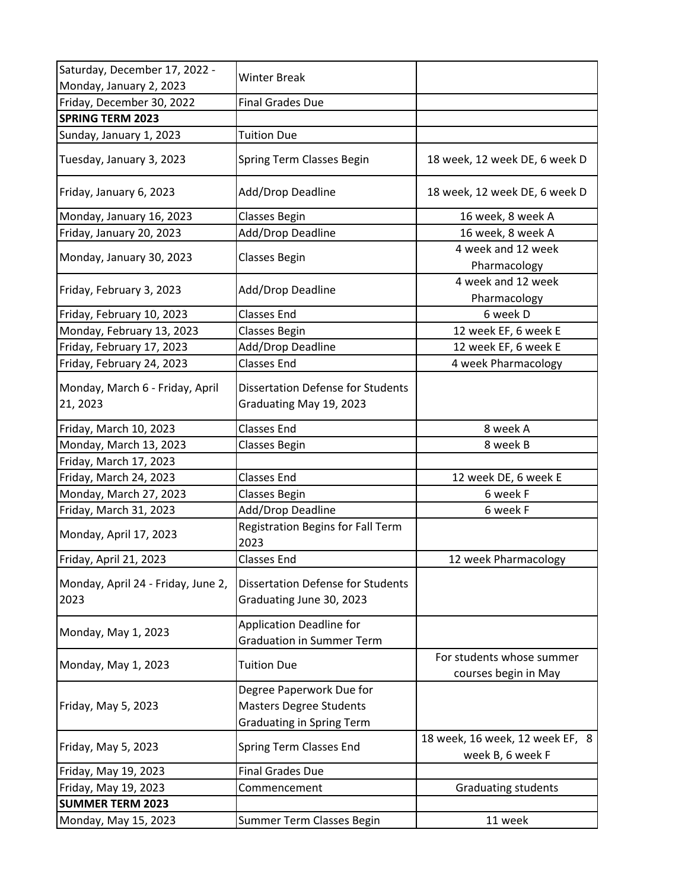| Saturday, December 17, 2022 -               | <b>Winter Break</b>                                                  |                                                     |
|---------------------------------------------|----------------------------------------------------------------------|-----------------------------------------------------|
| Monday, January 2, 2023                     |                                                                      |                                                     |
| Friday, December 30, 2022                   | <b>Final Grades Due</b>                                              |                                                     |
| <b>SPRING TERM 2023</b>                     |                                                                      |                                                     |
| Sunday, January 1, 2023                     | <b>Tuition Due</b>                                                   |                                                     |
| Tuesday, January 3, 2023                    | Spring Term Classes Begin                                            | 18 week, 12 week DE, 6 week D                       |
| Friday, January 6, 2023                     | Add/Drop Deadline                                                    | 18 week, 12 week DE, 6 week D                       |
| Monday, January 16, 2023                    | <b>Classes Begin</b>                                                 | 16 week, 8 week A                                   |
| Friday, January 20, 2023                    | Add/Drop Deadline                                                    | 16 week, 8 week A                                   |
| Monday, January 30, 2023                    | <b>Classes Begin</b>                                                 | 4 week and 12 week<br>Pharmacology                  |
| Friday, February 3, 2023                    | Add/Drop Deadline                                                    | 4 week and 12 week<br>Pharmacology                  |
| Friday, February 10, 2023                   | <b>Classes End</b>                                                   | 6 week D                                            |
| Monday, February 13, 2023                   | Classes Begin                                                        | 12 week EF, 6 week E                                |
| Friday, February 17, 2023                   | Add/Drop Deadline                                                    | 12 week EF, 6 week E                                |
| Friday, February 24, 2023                   | <b>Classes End</b>                                                   | 4 week Pharmacology                                 |
| Monday, March 6 - Friday, April<br>21, 2023 | <b>Dissertation Defense for Students</b><br>Graduating May 19, 2023  |                                                     |
| Friday, March 10, 2023                      | <b>Classes End</b>                                                   | 8 week A                                            |
| Monday, March 13, 2023                      | <b>Classes Begin</b>                                                 | 8 week B                                            |
| Friday, March 17, 2023                      |                                                                      |                                                     |
| Friday, March 24, 2023                      | <b>Classes End</b>                                                   | 12 week DE, 6 week E                                |
| Monday, March 27, 2023                      | Classes Begin                                                        | 6 week F                                            |
| Friday, March 31, 2023                      | Add/Drop Deadline                                                    | 6 week F                                            |
| Monday, April 17, 2023                      | Registration Begins for Fall Term<br>2023                            |                                                     |
| Friday, April 21, 2023                      | <b>Classes End</b>                                                   | 12 week Pharmacology                                |
| Monday, April 24 - Friday, June 2,<br>2023  | <b>Dissertation Defense for Students</b><br>Graduating June 30, 2023 |                                                     |
| Monday, May 1, 2023                         | <b>Application Deadline for</b><br><b>Graduation in Summer Term</b>  |                                                     |
| Monday, May 1, 2023                         | <b>Tuition Due</b>                                                   | For students whose summer<br>courses begin in May   |
|                                             | Degree Paperwork Due for                                             |                                                     |
| Friday, May 5, 2023                         | <b>Masters Degree Students</b>                                       |                                                     |
|                                             | <b>Graduating in Spring Term</b>                                     |                                                     |
| Friday, May 5, 2023                         | Spring Term Classes End                                              | 18 week, 16 week, 12 week EF, 8<br>week B, 6 week F |
| Friday, May 19, 2023                        | <b>Final Grades Due</b>                                              |                                                     |
| Friday, May 19, 2023                        | Commencement                                                         | <b>Graduating students</b>                          |
| <b>SUMMER TERM 2023</b>                     |                                                                      |                                                     |
| Monday, May 15, 2023                        | Summer Term Classes Begin                                            | 11 week                                             |